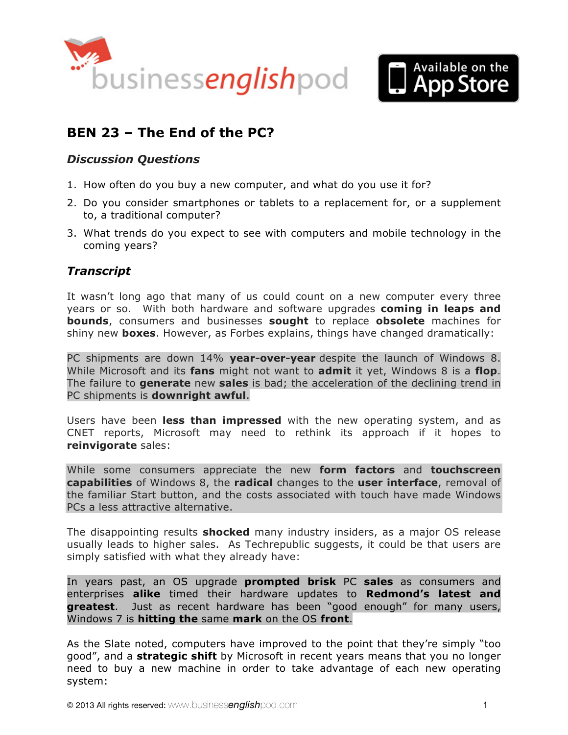



# **BEN 23 – [The End of the PC?](http://www.businessenglishpod.com/2013/05/19/business-english-news-23-the-end-of-the-pc/)**

#### *Discussion Questions*

- 1. How often do you buy a new computer, and what do you use it for?
- 2. Do you consider smartphones or tablets to a replacement for, or a supplement to, a traditional computer?
- 3. What trends do you expect to see with computers and mobile technology in the coming years?

### *Transcript*

It wasn't long ago that many of us could count on a new computer every three years or so. With both hardware and software upgrades **coming in leaps and bounds**, consumers and businesses **sought** to replace **obsolete** machines for shiny new **boxes**. However, as Forbes explains, things have changed dramatically:

PC shipments are down 14% **year-over-year** despite the launch of Windows 8. While Microsoft and its **fans** might not want to **admit** it yet, Windows 8 is a **flop**. The failure to **generate** new **sales** is bad; the acceleration of the declining trend in PC shipments is **downright awful**.

Users have been **less than impressed** with the new operating system, and as CNET reports, Microsoft may need to rethink its approach if it hopes to **reinvigorate** sales:

While some consumers appreciate the new **form factors** and **touchscreen capabilities** of Windows 8, the **radical** changes to the **user interface**, removal of the familiar Start button, and the costs associated with touch have made Windows PCs a less attractive alternative.

The disappointing results **shocked** many industry insiders, as a major OS release usually leads to higher sales. As Techrepublic suggests, it could be that users are simply satisfied with what they already have:

In years past, an OS upgrade **prompted brisk** PC **sales** as consumers and enterprises **alike** timed their hardware updates to **Redmond's latest and greatest**. Just as recent hardware has been "good enough" for many users, Windows 7 is **hitting the** same **mark** on the OS **front**.

As the Slate noted, computers have improved to the point that they're simply "too good", and a **strategic shift** by Microsoft in recent years means that you no longer need to buy a new machine in order to take advantage of each new operating system: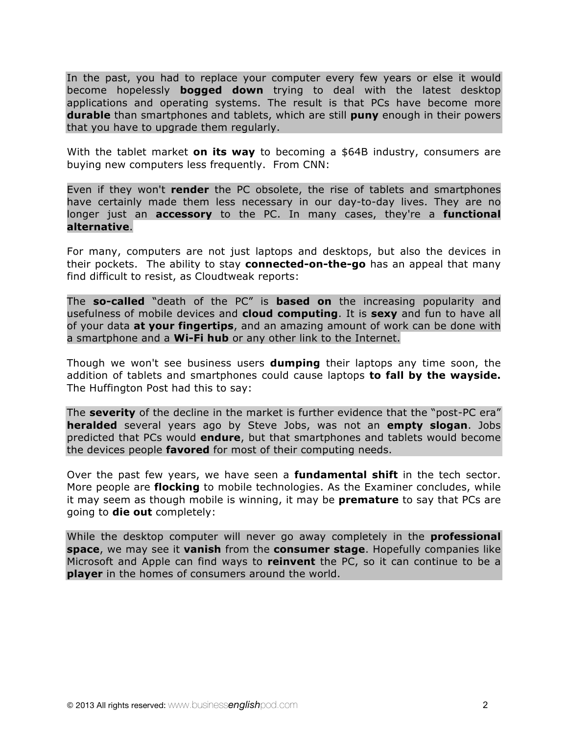In the past, you had to replace your computer every few years or else it would become hopelessly **bogged down** trying to deal with the latest desktop applications and operating systems. The result is that PCs have become more **durable** than smartphones and tablets, which are still **puny** enough in their powers that you have to upgrade them regularly.

With the tablet market **on its way** to becoming a \$64B industry, consumers are buying new computers less frequently. From CNN:

Even if they won't **render** the PC obsolete, the rise of tablets and smartphones have certainly made them less necessary in our day-to-day lives. They are no longer just an **accessory** to the PC. In many cases, they're a **functional alternative**.

For many, computers are not just laptops and desktops, but also the devices in their pockets. The ability to stay **connected-on-the-go** has an appeal that many find difficult to resist, as Cloudtweak reports:

The **so-called** "death of the PC" is **based on** the increasing popularity and usefulness of mobile devices and **cloud computing**. It is **sexy** and fun to have all of your data **at your fingertips**, and an amazing amount of work can be done with a smartphone and a **Wi-Fi hub** or any other link to the Internet.

Though we won't see business users **dumping** their laptops any time soon, the addition of tablets and smartphones could cause laptops **to fall by the wayside.** The Huffington Post had this to say:

The **severity** of the decline in the market is further evidence that the "post-PC era" **heralded** several years ago by Steve Jobs, was not an **empty slogan**. Jobs predicted that PCs would **endure**, but that smartphones and tablets would become the devices people **favored** for most of their computing needs.

Over the past few years, we have seen a **fundamental shift** in the tech sector. More people are **flocking** to mobile technologies. As the Examiner concludes, while it may seem as though mobile is winning, it may be **premature** to say that PCs are going to **die out** completely:

While the desktop computer will never go away completely in the **professional space**, we may see it **vanish** from the **consumer stage**. Hopefully companies like Microsoft and Apple can find ways to **reinvent** the PC, so it can continue to be a **player** in the homes of consumers around the world.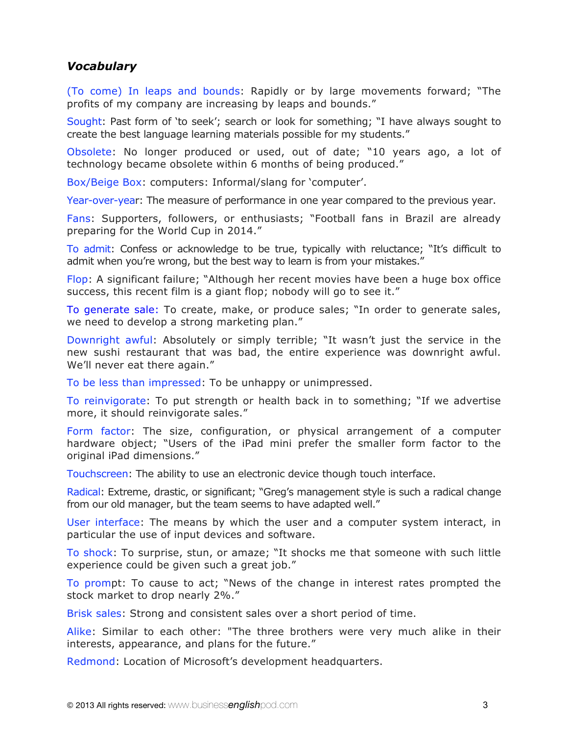### *Vocabulary*

(To come) In leaps and bounds: Rapidly or by large movements forward; "The profits of my company are increasing by leaps and bounds."

Sought: Past form of 'to seek'; search or look for something; "I have always sought to create the best language learning materials possible for my students."

Obsolete: No longer produced or used, out of date; "10 years ago, a lot of technology became obsolete within 6 months of being produced."

Box/Beige Box: computers: Informal/slang for 'computer'.

Year-over-year: The measure of performance in one year compared to the previous year.

Fans: Supporters, followers, or enthusiasts; "Football fans in Brazil are already preparing for the World Cup in 2014."

To admit: Confess or acknowledge to be true, typically with reluctance; "It's difficult to admit when you're wrong, but the best way to learn is from your mistakes."

Flop: A significant failure; "Although her recent movies have been a huge box office success, this recent film is a giant flop; nobody will go to see it."

To generate sale: To create, make, or produce sales; "In order to generate sales, we need to develop a strong marketing plan."

Downright awful: Absolutely or simply terrible; "It wasn't just the service in the new sushi restaurant that was bad, the entire experience was downright awful. We'll never eat there again."

To be less than impressed: To be unhappy or unimpressed.

To reinvigorate: To put strength or health back in to something; "If we advertise more, it should reinvigorate sales."

Form factor: The size, configuration, or physical arrangement of a computer hardware object; "Users of the iPad mini prefer the smaller form factor to the original iPad dimensions."

Touchscreen: The ability to use an electronic device though touch interface.

Radical: Extreme, drastic, or significant; "Greg's management style is such a radical change from our old manager, but the team seems to have adapted well."

User interface: The means by which the user and a computer system interact, in particular the use of input devices and software.

To shock: To surprise, stun, or amaze; "It shocks me that someone with such little experience could be given such a great job."

To prompt: To cause to act; "News of the change in interest rates prompted the stock market to drop nearly 2%."

Brisk sales: Strong and consistent sales over a short period of time.

Alike: Similar to each other: "The three brothers were very much alike in their interests, appearance, and plans for the future."

Redmond: Location of Microsoft's development headquarters.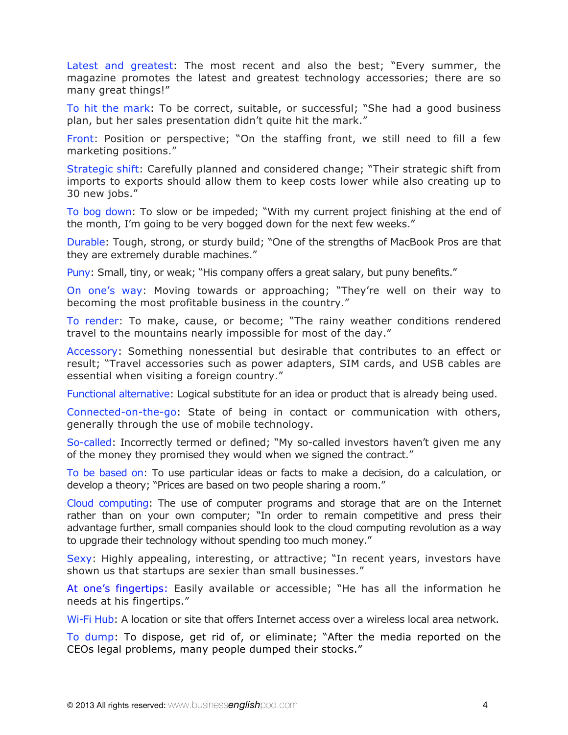Latest and greatest: The most recent and also the best; "Every summer, the magazine promotes the latest and greatest technology accessories; there are so many great things!"

To hit the mark: To be correct, suitable, or successful; "She had a good business plan, but her sales presentation didn't quite hit the mark."

Front: Position or perspective; "On the staffing front, we still need to fill a few marketing positions."

Strategic shift: Carefully planned and considered change; "Their strategic shift from imports to exports should allow them to keep costs lower while also creating up to 30 new jobs."

To bog down: To slow or be impeded; "With my current project finishing at the end of the month, I'm going to be very bogged down for the next few weeks."

Durable: Tough, strong, or sturdy build; "One of the strengths of MacBook Pros are that they are extremely durable machines."

Puny: Small, tiny, or weak; "His company offers a great salary, but puny benefits."

On one's way: Moving towards or approaching; "They're well on their way to becoming the most profitable business in the country."

To render: To make, cause, or become; "The rainy weather conditions rendered travel to the mountains nearly impossible for most of the day."

Accessory: Something nonessential but desirable that contributes to an effect or result; "Travel accessories such as power adapters, SIM cards, and USB cables are essential when visiting a foreign country."

Functional alternative: Logical substitute for an idea or product that is already being used.

Connected-on-the-go: State of being in contact or communication with others, generally through the use of mobile technology.

So-called: Incorrectly termed or defined; "My so-called investors haven't given me any of the money they promised they would when we signed the contract."

To be based on: To use particular ideas or facts to make a decision, do a calculation, or develop a theory; "Prices are based on two people sharing a room."

Cloud computing: The use of computer programs and storage that are on the Internet rather than on your own computer; "In order to remain competitive and press their advantage further, small companies should look to the cloud computing revolution as a way to upgrade their technology without spending too much money."

Sexy: Highly appealing, interesting, or attractive; "In recent years, investors have shown us that startups are sexier than small businesses."

At one's fingertips: Easily available or accessible; "He has all the information he needs at his fingertips."

Wi-Fi Hub: A location or site that offers Internet access over a wireless local area network.

To dump: To dispose, get rid of, or eliminate; "After the media reported on the CEOs legal problems, many people dumped their stocks."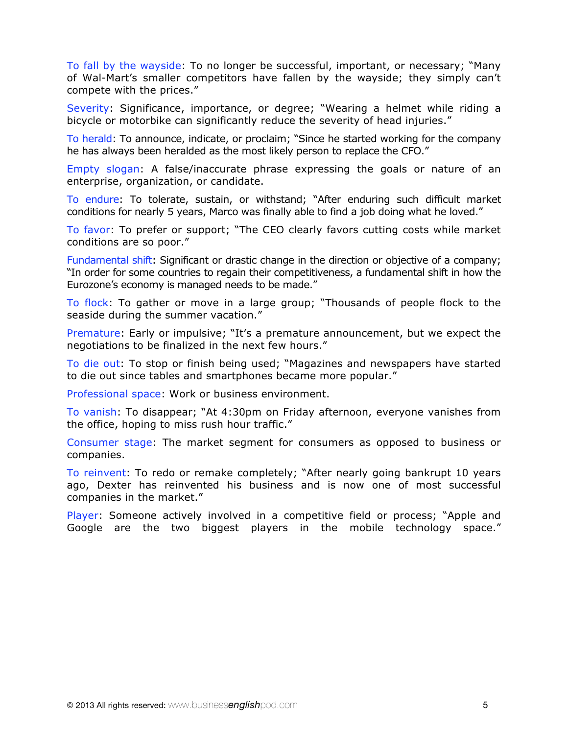To fall by the wayside: To no longer be successful, important, or necessary; "Many of Wal-Mart's smaller competitors have fallen by the wayside; they simply can't compete with the prices."

Severity: Significance, importance, or degree; "Wearing a helmet while riding a bicycle or motorbike can significantly reduce the severity of head injuries."

To herald: To announce, indicate, or proclaim; "Since he started working for the company he has always been heralded as the most likely person to replace the CFO."

Empty slogan: A false/inaccurate phrase expressing the goals or nature of an enterprise, organization, or candidate.

To endure: To tolerate, sustain, or withstand; "After enduring such difficult market conditions for nearly 5 years, Marco was finally able to find a job doing what he loved."

To favor: To prefer or support; "The CEO clearly favors cutting costs while market conditions are so poor."

Fundamental shift: Significant or drastic change in the direction or objective of a company; "In order for some countries to regain their competitiveness, a fundamental shift in how the Eurozone's economy is managed needs to be made."

To flock: To gather or move in a large group; "Thousands of people flock to the seaside during the summer vacation."

Premature: Early or impulsive; "It's a premature announcement, but we expect the negotiations to be finalized in the next few hours."

To die out: To stop or finish being used; "Magazines and newspapers have started to die out since tables and smartphones became more popular."

Professional space: Work or business environment.

To vanish: To disappear; "At 4:30pm on Friday afternoon, everyone vanishes from the office, hoping to miss rush hour traffic."

Consumer stage: The market segment for consumers as opposed to business or companies.

To reinvent: To redo or remake completely; "After nearly going bankrupt 10 years ago, Dexter has reinvented his business and is now one of most successful companies in the market."

Player: Someone actively involved in a competitive field or process; "Apple and Google are the two biggest players in the mobile technology space."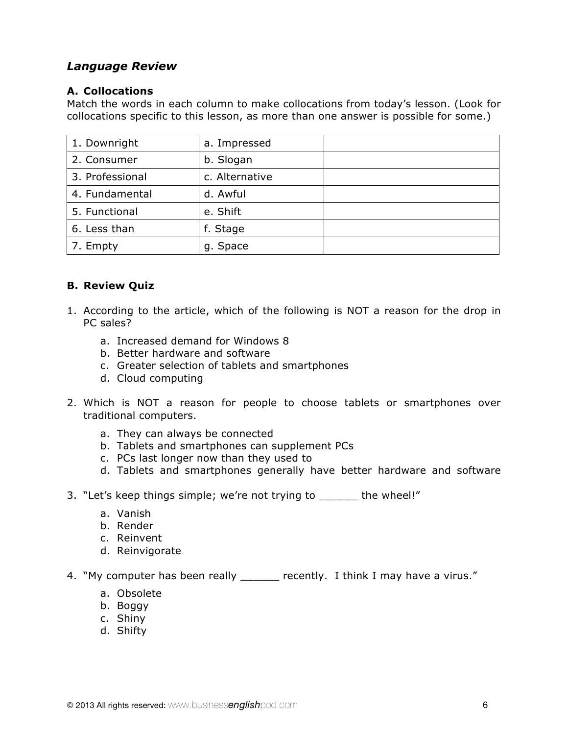## *Language Review*

#### **A. Collocations**

Match the words in each column to make collocations from today's lesson. (Look for collocations specific to this lesson, as more than one answer is possible for some.)

| 1. Downright    | a. Impressed   |  |
|-----------------|----------------|--|
| 2. Consumer     | b. Slogan      |  |
| 3. Professional | c. Alternative |  |
| 4. Fundamental  | d. Awful       |  |
| 5. Functional   | e. Shift       |  |
| 6. Less than    | f. Stage       |  |
| 7. Empty        | g. Space       |  |

### **B. Review Quiz**

- 1. According to the article, which of the following is NOT a reason for the drop in PC sales?
	- a. Increased demand for Windows 8
	- b. Better hardware and software
	- c. Greater selection of tablets and smartphones
	- d. Cloud computing
- 2. Which is NOT a reason for people to choose tablets or smartphones over traditional computers.
	- a. They can always be connected
	- b. Tablets and smartphones can supplement PCs
	- c. PCs last longer now than they used to
	- d. Tablets and smartphones generally have better hardware and software
- 3. "Let's keep things simple; we're not trying to the wheel!"
	- a. Vanish
	- b. Render
	- c. Reinvent
	- d. Reinvigorate
- 4. "My computer has been really \_\_\_\_\_\_ recently. I think I may have a virus."
	- a. Obsolete
	- b. Boggy
	- c. Shiny
	- d. Shifty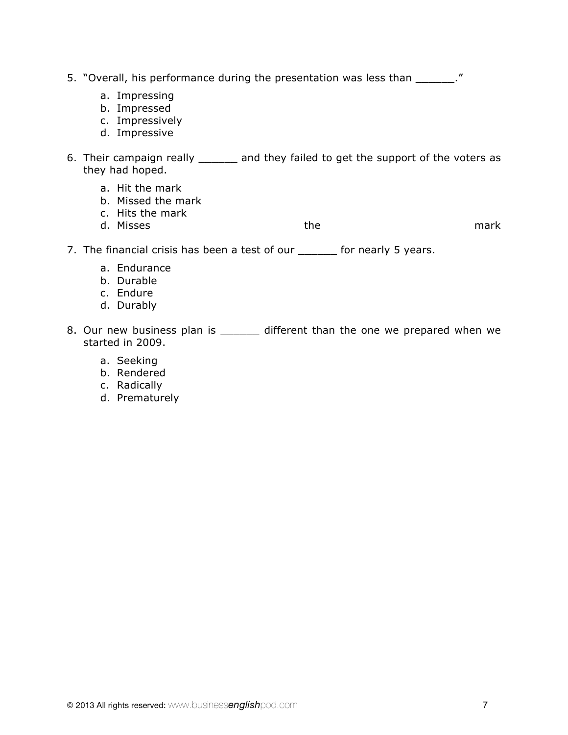- 5. "Overall, his performance during the presentation was less than \_\_\_\_\_\_."
	- a. Impressing
	- b. Impressed
	- c. Impressively
	- d. Impressive

6. Their campaign really \_\_\_\_\_\_ and they failed to get the support of the voters as they had hoped.

- a. Hit the mark
- b. Missed the mark
- c. Hits the mark
- d. Misses the mark

- 7. The financial crisis has been a test of our \_\_\_\_\_\_ for nearly 5 years.
	- a. Endurance
	- b. Durable
	- c. Endure
	- d. Durably
- 8. Our new business plan is \_\_\_\_\_\_ different than the one we prepared when we started in 2009.
	- a. Seeking
	- b. Rendered
	- c. Radically
	- d. Prematurely